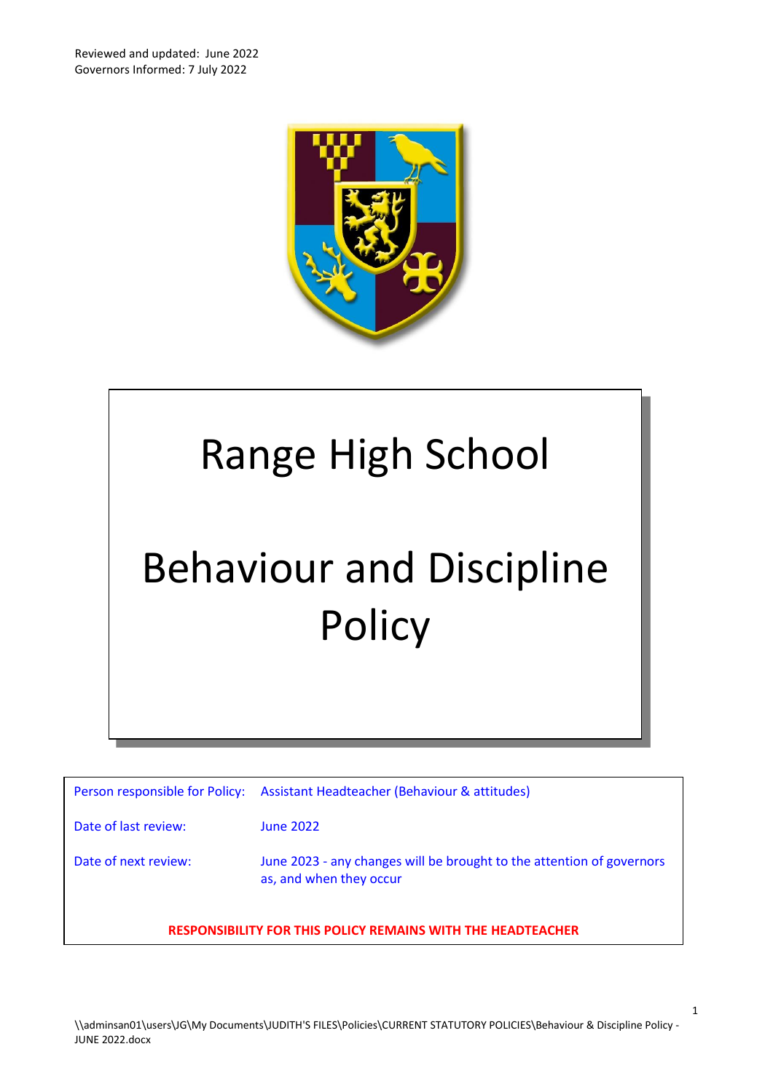

# Range High School Behaviour and Discipline **Policy**

| Person responsible for Policy:                                     | Assistant Headteacher (Behaviour & attitudes)                                                    |  |  |
|--------------------------------------------------------------------|--------------------------------------------------------------------------------------------------|--|--|
| Date of last review:                                               | <b>June 2022</b>                                                                                 |  |  |
| Date of next review:                                               | June 2023 - any changes will be brought to the attention of governors<br>as, and when they occur |  |  |
| <b>RESPONSIBILITY FOR THIS POLICY REMAINS WITH THE HEADTEACHER</b> |                                                                                                  |  |  |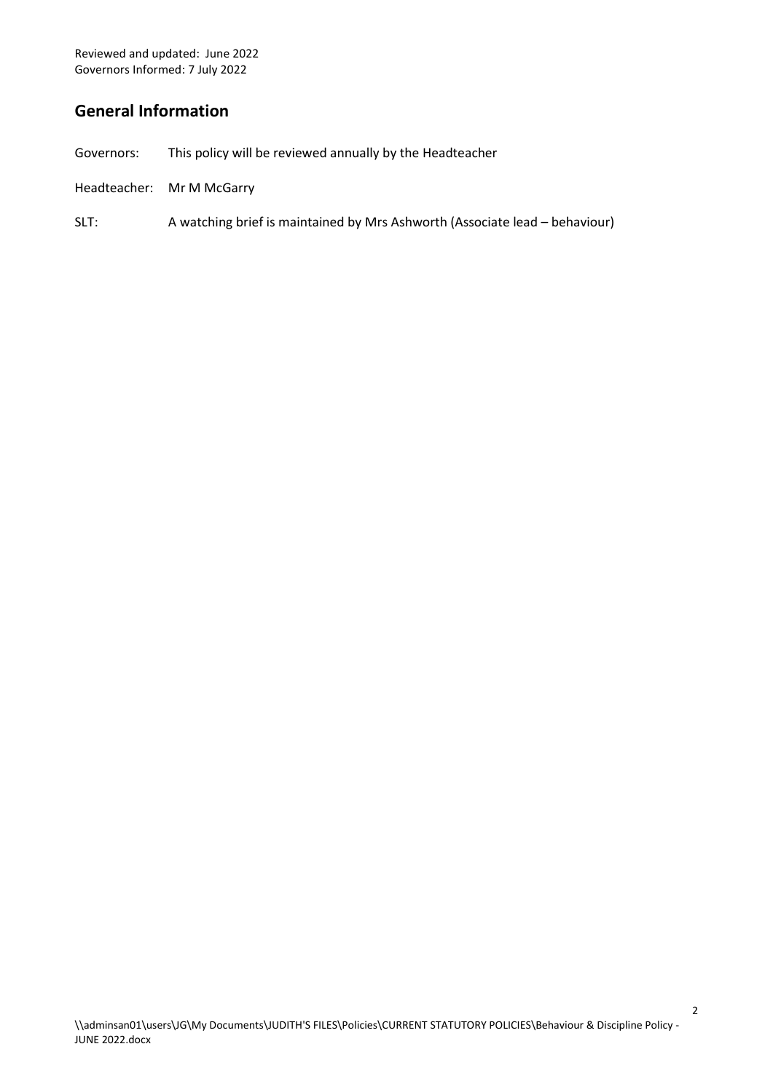# **General Information**

- Governors: This policy will be reviewed annually by the Headteacher
- Headteacher: Mr M McGarry
- SLT: A watching brief is maintained by Mrs Ashworth (Associate lead behaviour)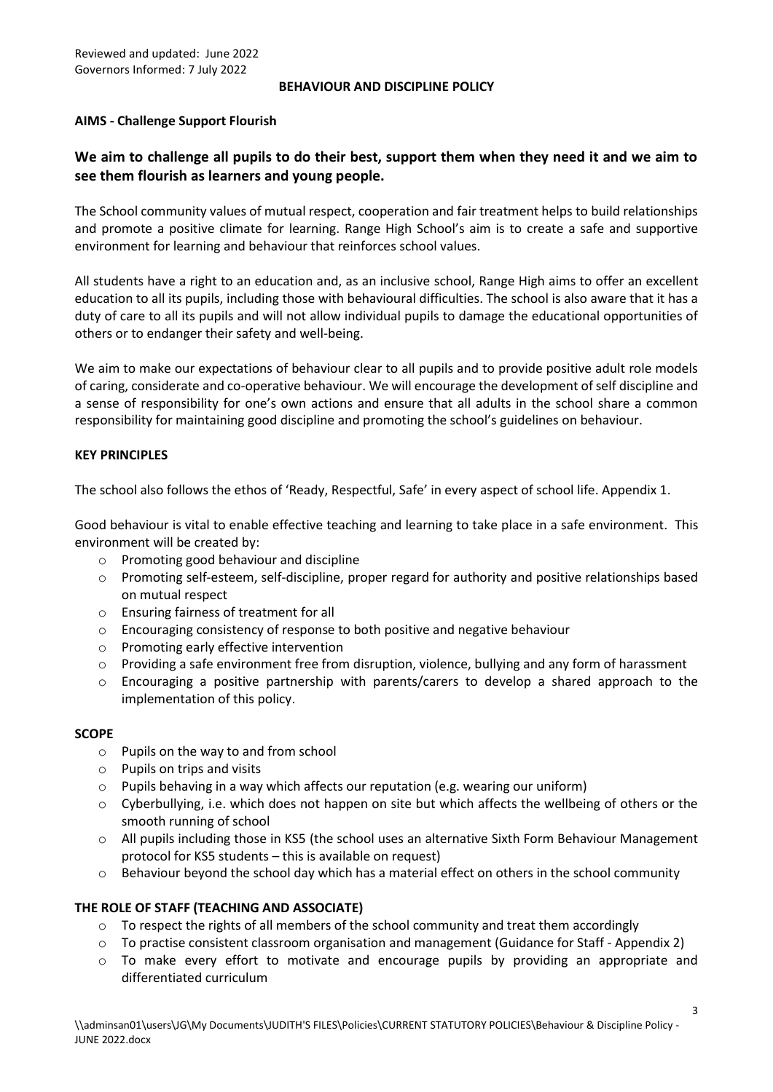#### **BEHAVIOUR AND DISCIPLINE POLICY**

# **AIMS - Challenge Support Flourish**

# **We aim to challenge all pupils to do their best, support them when they need it and we aim to see them flourish as learners and young people.**

The School community values of mutual respect, cooperation and fair treatment helps to build relationships and promote a positive climate for learning. Range High School's aim is to create a safe and supportive environment for learning and behaviour that reinforces school values.

All students have a right to an education and, as an inclusive school, Range High aims to offer an excellent education to all its pupils, including those with behavioural difficulties. The school is also aware that it has a duty of care to all its pupils and will not allow individual pupils to damage the educational opportunities of others or to endanger their safety and well-being.

We aim to make our expectations of behaviour clear to all pupils and to provide positive adult role models of caring, considerate and co-operative behaviour. We will encourage the development of self discipline and a sense of responsibility for one's own actions and ensure that all adults in the school share a common responsibility for maintaining good discipline and promoting the school's guidelines on behaviour.

# **KEY PRINCIPLES**

The school also follows the ethos of 'Ready, Respectful, Safe' in every aspect of school life. Appendix 1.

Good behaviour is vital to enable effective teaching and learning to take place in a safe environment. This environment will be created by:

- o Promoting good behaviour and discipline
- $\circ$  Promoting self-esteem, self-discipline, proper regard for authority and positive relationships based on mutual respect
- o Ensuring fairness of treatment for all
- o Encouraging consistency of response to both positive and negative behaviour
- o Promoting early effective intervention
- o Providing a safe environment free from disruption, violence, bullying and any form of harassment
- o Encouraging a positive partnership with parents/carers to develop a shared approach to the implementation of this policy.

# **SCOPE**

- o Pupils on the way to and from school
- o Pupils on trips and visits
- $\circ$  Pupils behaving in a way which affects our reputation (e.g. wearing our uniform)
- $\circ$  Cyberbullying, i.e. which does not happen on site but which affects the wellbeing of others or the smooth running of school
- o All pupils including those in KS5 (the school uses an alternative Sixth Form Behaviour Management protocol for KS5 students – this is available on request)
- $\circ$  Behaviour beyond the school day which has a material effect on others in the school community

# **THE ROLE OF STAFF (TEACHING AND ASSOCIATE)**

- $\circ$  To respect the rights of all members of the school community and treat them accordingly
- o To practise consistent classroom organisation and management (Guidance for Staff Appendix 2)
- o To make every effort to motivate and encourage pupils by providing an appropriate and differentiated curriculum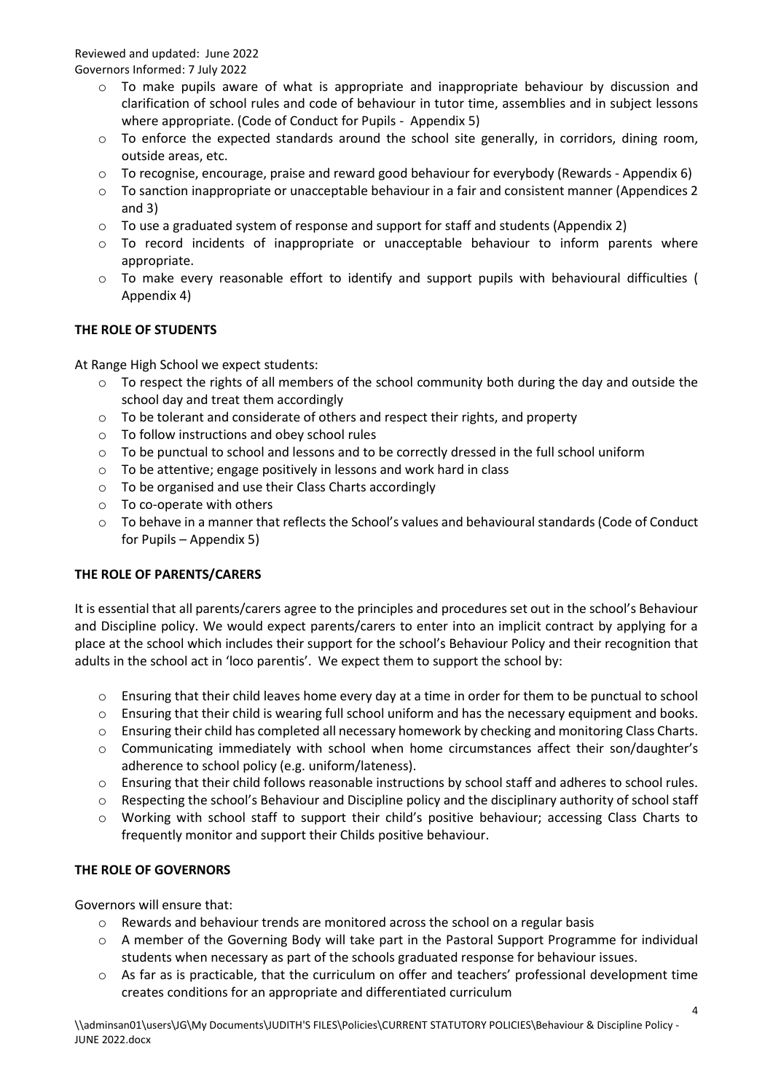- $\circ$  To make pupils aware of what is appropriate and inappropriate behaviour by discussion and clarification of school rules and code of behaviour in tutor time, assemblies and in subject lessons where appropriate. (Code of Conduct for Pupils - Appendix 5)
- $\circ$  To enforce the expected standards around the school site generally, in corridors, dining room, outside areas, etc.
- $\circ$  To recognise, encourage, praise and reward good behaviour for everybody (Rewards Appendix 6)
- o To sanction inappropriate or unacceptable behaviour in a fair and consistent manner (Appendices 2 and 3)
- $\circ$  To use a graduated system of response and support for staff and students (Appendix 2)
- o To record incidents of inappropriate or unacceptable behaviour to inform parents where appropriate.
- o To make every reasonable effort to identify and support pupils with behavioural difficulties ( Appendix 4)

# **THE ROLE OF STUDENTS**

At Range High School we expect students:

- $\circ$  To respect the rights of all members of the school community both during the day and outside the school day and treat them accordingly
- o To be tolerant and considerate of others and respect their rights, and property
- o To follow instructions and obey school rules
- o To be punctual to school and lessons and to be correctly dressed in the full school uniform
- o To be attentive; engage positively in lessons and work hard in class
- o To be organised and use their Class Charts accordingly
- o To co-operate with others
- o To behave in a manner that reflects the School's values and behavioural standards (Code of Conduct for Pupils – Appendix 5)

# **THE ROLE OF PARENTS/CARERS**

It is essential that all parents/carers agree to the principles and procedures set out in the school's Behaviour and Discipline policy. We would expect parents/carers to enter into an implicit contract by applying for a place at the school which includes their support for the school's Behaviour Policy and their recognition that adults in the school act in 'loco parentis'. We expect them to support the school by:

- o Ensuring that their child leaves home every day at a time in order for them to be punctual to school
- $\circ$  Ensuring that their child is wearing full school uniform and has the necessary equipment and books.
- $\circ$  Ensuring their child has completed all necessary homework by checking and monitoring Class Charts.
- o Communicating immediately with school when home circumstances affect their son/daughter's adherence to school policy (e.g. uniform/lateness).
- o Ensuring that their child follows reasonable instructions by school staff and adheres to school rules.
- o Respecting the school's Behaviour and Discipline policy and the disciplinary authority of school staff
- o Working with school staff to support their child's positive behaviour; accessing Class Charts to frequently monitor and support their Childs positive behaviour.

# **THE ROLE OF GOVERNORS**

Governors will ensure that:

- $\circ$  Rewards and behaviour trends are monitored across the school on a regular basis
- o A member of the Governing Body will take part in the Pastoral Support Programme for individual students when necessary as part of the schools graduated response for behaviour issues.
- $\circ$  As far as is practicable, that the curriculum on offer and teachers' professional development time creates conditions for an appropriate and differentiated curriculum

\\adminsan01\users\JG\My Documents\JUDITH'S FILES\Policies\CURRENT STATUTORY POLICIES\Behaviour & Discipline Policy - JUNE 2022.docx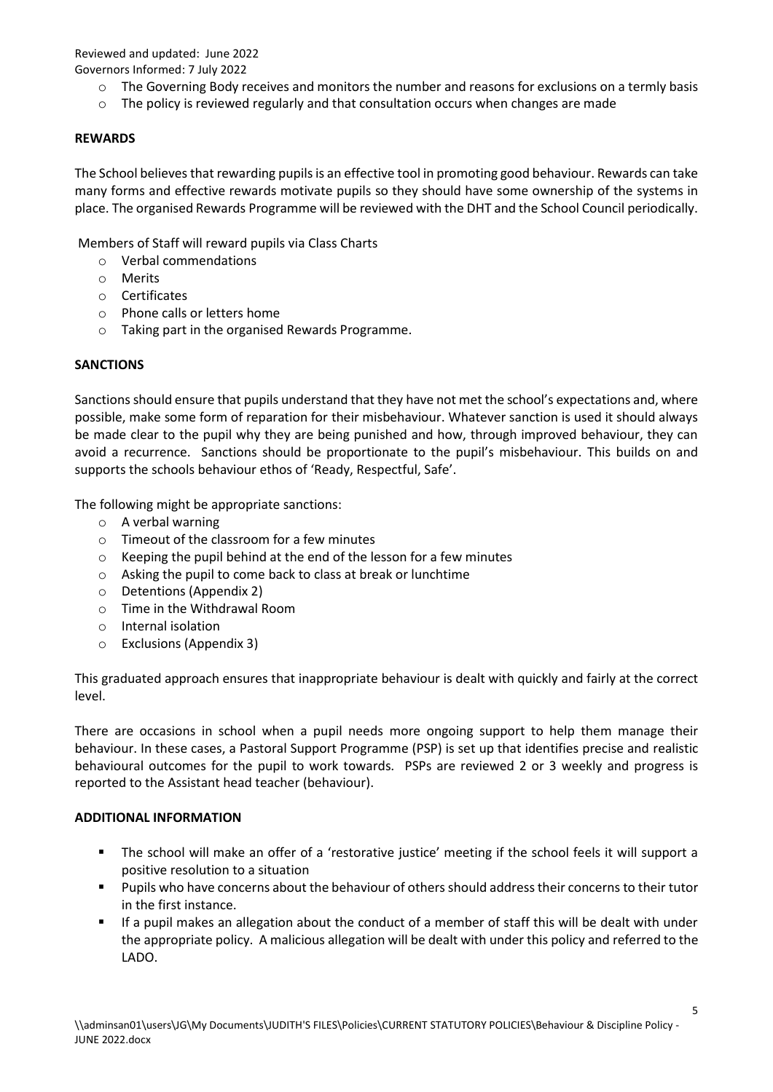- o The Governing Body receives and monitors the number and reasons for exclusions on a termly basis
- $\circ$  The policy is reviewed regularly and that consultation occurs when changes are made

# **REWARDS**

The School believes that rewarding pupils is an effective tool in promoting good behaviour. Rewards can take many forms and effective rewards motivate pupils so they should have some ownership of the systems in place. The organised Rewards Programme will be reviewed with the DHT and the School Council periodically.

Members of Staff will reward pupils via Class Charts

- o Verbal commendations
- o Merits
- o Certificates
- o Phone calls or letters home
- o Taking part in the organised Rewards Programme.

# **SANCTIONS**

Sanctions should ensure that pupils understand that they have not met the school's expectations and, where possible, make some form of reparation for their misbehaviour. Whatever sanction is used it should always be made clear to the pupil why they are being punished and how, through improved behaviour, they can avoid a recurrence. Sanctions should be proportionate to the pupil's misbehaviour. This builds on and supports the schools behaviour ethos of 'Ready, Respectful, Safe'.

The following might be appropriate sanctions:

- o A verbal warning
- o Timeout of the classroom for a few minutes
- o Keeping the pupil behind at the end of the lesson for a few minutes
- o Asking the pupil to come back to class at break or lunchtime
- o Detentions (Appendix 2)
- o Time in the Withdrawal Room
- o Internal isolation
- o Exclusions (Appendix 3)

This graduated approach ensures that inappropriate behaviour is dealt with quickly and fairly at the correct level.

There are occasions in school when a pupil needs more ongoing support to help them manage their behaviour. In these cases, a Pastoral Support Programme (PSP) is set up that identifies precise and realistic behavioural outcomes for the pupil to work towards. PSPs are reviewed 2 or 3 weekly and progress is reported to the Assistant head teacher (behaviour).

# **ADDITIONAL INFORMATION**

- The school will make an offer of a 'restorative justice' meeting if the school feels it will support a positive resolution to a situation
- Pupils who have concerns about the behaviour of others should address their concerns to their tutor in the first instance.
- If a pupil makes an allegation about the conduct of a member of staff this will be dealt with under the appropriate policy. A malicious allegation will be dealt with under this policy and referred to the LADO.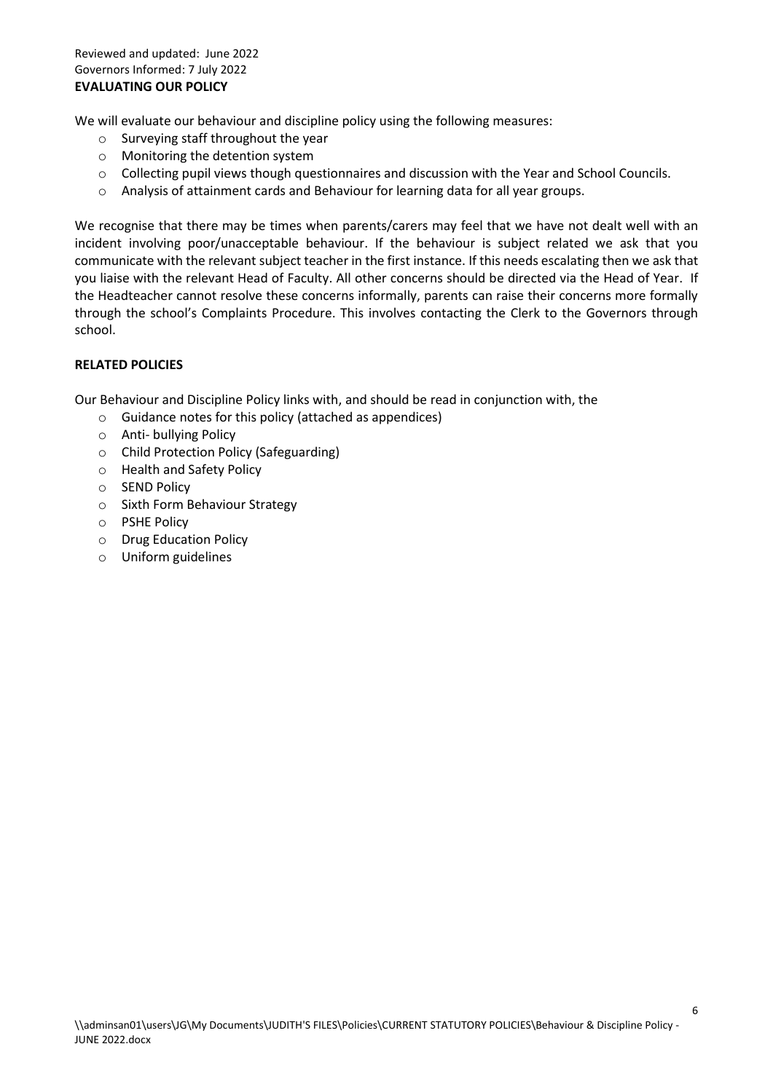We will evaluate our behaviour and discipline policy using the following measures:

- o Surveying staff throughout the year
- o Monitoring the detention system
- o Collecting pupil views though questionnaires and discussion with the Year and School Councils.
- o Analysis of attainment cards and Behaviour for learning data for all year groups.

We recognise that there may be times when parents/carers may feel that we have not dealt well with an incident involving poor/unacceptable behaviour. If the behaviour is subject related we ask that you communicate with the relevant subject teacher in the first instance. If this needs escalating then we ask that you liaise with the relevant Head of Faculty. All other concerns should be directed via the Head of Year. If the Headteacher cannot resolve these concerns informally, parents can raise their concerns more formally through the school's Complaints Procedure. This involves contacting the Clerk to the Governors through school.

# **RELATED POLICIES**

Our Behaviour and Discipline Policy links with, and should be read in conjunction with, the

- o Guidance notes for this policy (attached as appendices)
- o Anti- bullying Policy
- o Child Protection Policy (Safeguarding)
- o Health and Safety Policy
- o SEND Policy
- o Sixth Form Behaviour Strategy
- o PSHE Policy
- o Drug Education Policy
- o Uniform guidelines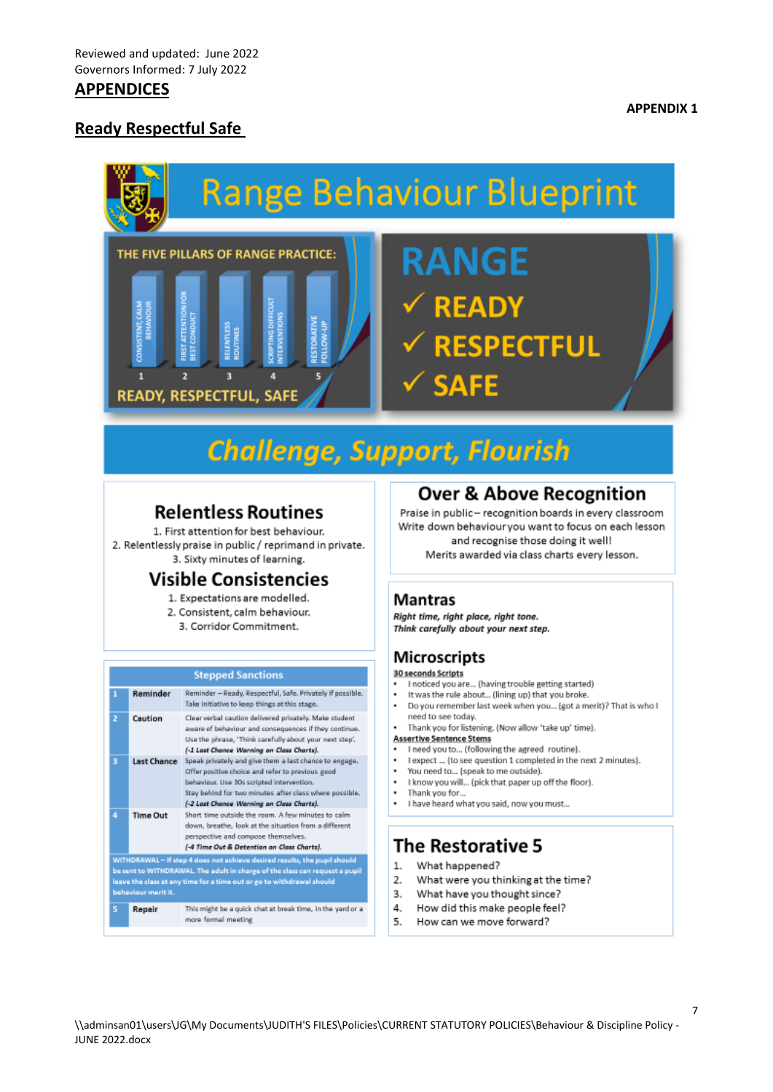# **APPENDICES**

# **Ready Respectful Safe**

**IRST ATTENTION BEST CONDUCT** 

 $\overline{z}$ 

 $\mathbf{1}$ 

# **Range Behaviour Blueprint** THE FIVE PILLARS OF RANGE PRACTICE: **RANGE**

# **Challenge, Support, Flourish**

RESTORATIVE<br>FOLLOW-UP

TING DIE

b

RELENTLES

þ

**READY, RESPECTFUL, SAFE** 

# **Relentless Routines**

1. First attention for best behaviour. 2. Relentlessly praise in public / reprimand in private. 3. Sixty minutes of learning.

# **Visible Consistencies**

- 1. Expectations are modelled.
- 2. Consistent, calm behaviour. 3. Corridor Commitment.
- 

| <b>Stepped Sanctions</b>                                                                                                                                                                                                                                 |                 |                                                                                                                                                                                                                                                                 |
|----------------------------------------------------------------------------------------------------------------------------------------------------------------------------------------------------------------------------------------------------------|-----------------|-----------------------------------------------------------------------------------------------------------------------------------------------------------------------------------------------------------------------------------------------------------------|
| ٦                                                                                                                                                                                                                                                        | Reminder        | Reminder - Ready, Respectful, Safe. Privately if possible.<br>Take initiative to keep things at this stage.                                                                                                                                                     |
| $\overline{2}$                                                                                                                                                                                                                                           | Caution         | Clear verbal caution delivered privately. Make student<br>aware of behaviour and consequences if they continue.<br>Use the phrase, 'Think carefully about your next step'.<br>(-1 Last Chance Warning on Class Charts).                                         |
| B                                                                                                                                                                                                                                                        | Last Chance     | Speak privately and give them a last chance to engage.<br>Offer positive choice and refer to previous good<br>behaviour. Use 30s scripted intervention.<br>Stay behind for two minutes after class where possible.<br>(-2 Last Chance Warning on Class Charts). |
| 4                                                                                                                                                                                                                                                        | <b>Time Out</b> | Short time outside the room. A few minutes to calm.<br>down, breathe, look at the situation from a different<br>perspective and compose themselves.<br>(-4 Time Out & Detention on Class Charts).                                                               |
| WITHDRAWAL - If step 4 does not achieve desired results, the pupil should<br>be sent to WITHDRAWAL. The adult in charge of the class can request a pupil<br>leave the class at any time for a time out or go to withdrawal should<br>behaviour merit it. |                 |                                                                                                                                                                                                                                                                 |
| 5                                                                                                                                                                                                                                                        | Repair          | This might be a quick chat at break time, in the yard or a<br>more formal meeting                                                                                                                                                                               |

# **Over & Above Recognition**

Praise in public- recognition boards in every classroom Write down behaviour you want to focus on each lesson and recognise those doing it well! Merits awarded via class charts every lesson.

# **Mantras**

Right time, right place, right tone. Think carefully about your next step.

**READY** 

**SAFE** 

**RESPECTFUL** 

# **Microscripts**

#### 30 seconds Scripts

- I noticed you are... (having trouble getting started)
- It was the rule about... (lining up) that you broke.
- Do you remember last week when you... (got a merit)? That is who I need to see today.

#### Thank you for listening. (Now allow 'take up' time). **Assertive Sentence Stems**

- I need you to... (following the agreed routine).
- . I expect ... (to see question 1 completed in the next 2 minutes).
- You need to... (speak to me outside).
- I know you will... (pick that paper up off the floor).
- Thank you for...
- . I have heard what you said, now you must...

# **The Restorative 5**

- 1. What happened?
- What were you thinking at the time? 2.
- What have you thought since?  $3.$
- How did this make people feel? 4
- 5 How can we move forward?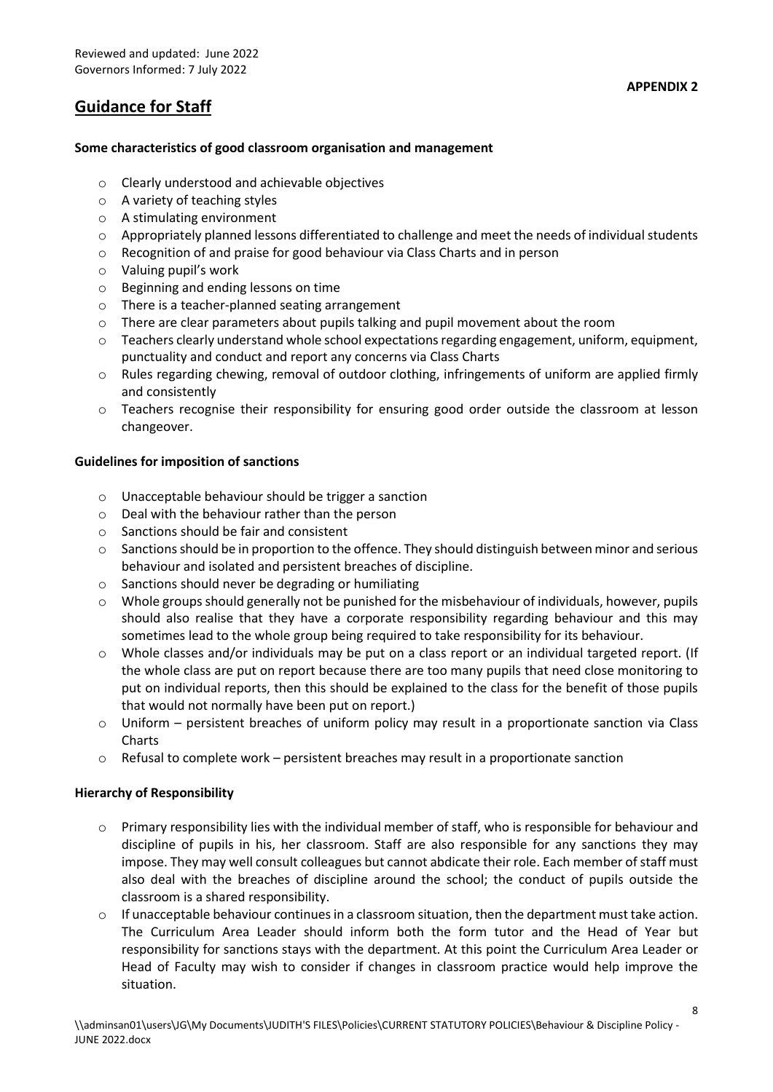# **Guidance for Staff**

# **Some characteristics of good classroom organisation and management**

- o Clearly understood and achievable objectives
- o A variety of teaching styles
- o A stimulating environment
- $\circ$  Appropriately planned lessons differentiated to challenge and meet the needs of individual students
- o Recognition of and praise for good behaviour via Class Charts and in person
- o Valuing pupil's work
- o Beginning and ending lessons on time
- o There is a teacher-planned seating arrangement
- o There are clear parameters about pupils talking and pupil movement about the room
- o Teachers clearly understand whole school expectations regarding engagement, uniform, equipment, punctuality and conduct and report any concerns via Class Charts
- o Rules regarding chewing, removal of outdoor clothing, infringements of uniform are applied firmly and consistently
- o Teachers recognise their responsibility for ensuring good order outside the classroom at lesson changeover.

# **Guidelines for imposition of sanctions**

- o Unacceptable behaviour should be trigger a sanction
- o Deal with the behaviour rather than the person
- o Sanctions should be fair and consistent
- $\circ$  Sanctions should be in proportion to the offence. They should distinguish between minor and serious behaviour and isolated and persistent breaches of discipline.
- o Sanctions should never be degrading or humiliating
- o Whole groups should generally not be punished for the misbehaviour of individuals, however, pupils should also realise that they have a corporate responsibility regarding behaviour and this may sometimes lead to the whole group being required to take responsibility for its behaviour.
- o Whole classes and/or individuals may be put on a class report or an individual targeted report. (If the whole class are put on report because there are too many pupils that need close monitoring to put on individual reports, then this should be explained to the class for the benefit of those pupils that would not normally have been put on report.)
- o Uniform persistent breaches of uniform policy may result in a proportionate sanction via Class Charts
- $\circ$  Refusal to complete work persistent breaches may result in a proportionate sanction

# **Hierarchy of Responsibility**

- o Primary responsibility lies with the individual member of staff, who is responsible for behaviour and discipline of pupils in his, her classroom. Staff are also responsible for any sanctions they may impose. They may well consult colleagues but cannot abdicate their role. Each member of staff must also deal with the breaches of discipline around the school; the conduct of pupils outside the classroom is a shared responsibility.
- o If unacceptable behaviour continues in a classroom situation, then the department must take action. The Curriculum Area Leader should inform both the form tutor and the Head of Year but responsibility for sanctions stays with the department. At this point the Curriculum Area Leader or Head of Faculty may wish to consider if changes in classroom practice would help improve the situation.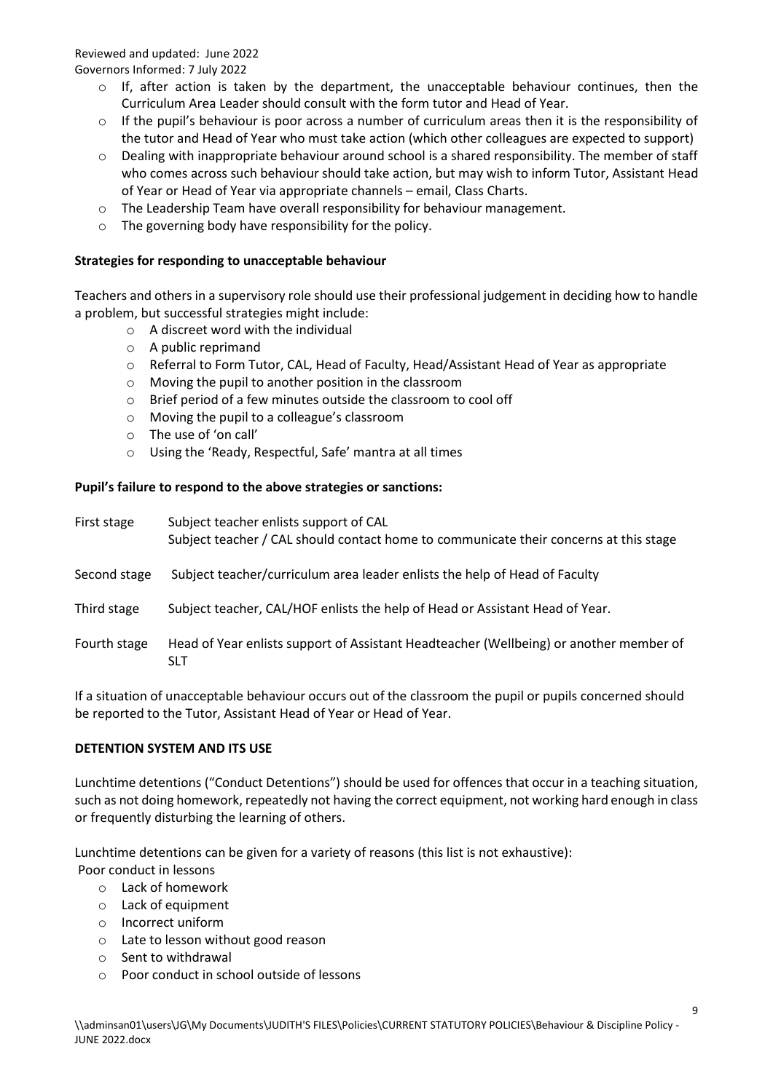- $\circ$  If, after action is taken by the department, the unacceptable behaviour continues, then the Curriculum Area Leader should consult with the form tutor and Head of Year.
- o If the pupil's behaviour is poor across a number of curriculum areas then it is the responsibility of the tutor and Head of Year who must take action (which other colleagues are expected to support)
- $\circ$  Dealing with inappropriate behaviour around school is a shared responsibility. The member of staff who comes across such behaviour should take action, but may wish to inform Tutor, Assistant Head of Year or Head of Year via appropriate channels – email, Class Charts.
- o The Leadership Team have overall responsibility for behaviour management.
- o The governing body have responsibility for the policy.

# **Strategies for responding to unacceptable behaviour**

Teachers and others in a supervisory role should use their professional judgement in deciding how to handle a problem, but successful strategies might include:

- o A discreet word with the individual
- o A public reprimand
- o Referral to Form Tutor, CAL, Head of Faculty, Head/Assistant Head of Year as appropriate
- o Moving the pupil to another position in the classroom
- o Brief period of a few minutes outside the classroom to cool off
- o Moving the pupil to a colleague's classroom
- o The use of 'on call'
- o Using the 'Ready, Respectful, Safe' mantra at all times

# **Pupil's failure to respond to the above strategies or sanctions:**

| First stage  | Subject teacher enlists support of CAL<br>Subject teacher / CAL should contact home to communicate their concerns at this stage |  |
|--------------|---------------------------------------------------------------------------------------------------------------------------------|--|
| Second stage | Subject teacher/curriculum area leader enlists the help of Head of Faculty                                                      |  |
| Third stage  | Subject teacher, CAL/HOF enlists the help of Head or Assistant Head of Year.                                                    |  |
| Fourth stage | Head of Year enlists support of Assistant Headteacher (Wellbeing) or another member of<br><b>SLT</b>                            |  |

If a situation of unacceptable behaviour occurs out of the classroom the pupil or pupils concerned should be reported to the Tutor, Assistant Head of Year or Head of Year.

# **DETENTION SYSTEM AND ITS USE**

Lunchtime detentions ("Conduct Detentions") should be used for offences that occur in a teaching situation, such as not doing homework, repeatedly not having the correct equipment, not working hard enough in class or frequently disturbing the learning of others.

Lunchtime detentions can be given for a variety of reasons (this list is not exhaustive): Poor conduct in lessons

- o Lack of homework
- o Lack of equipment
- o Incorrect uniform
- o Late to lesson without good reason
- o Sent to withdrawal
- o Poor conduct in school outside of lessons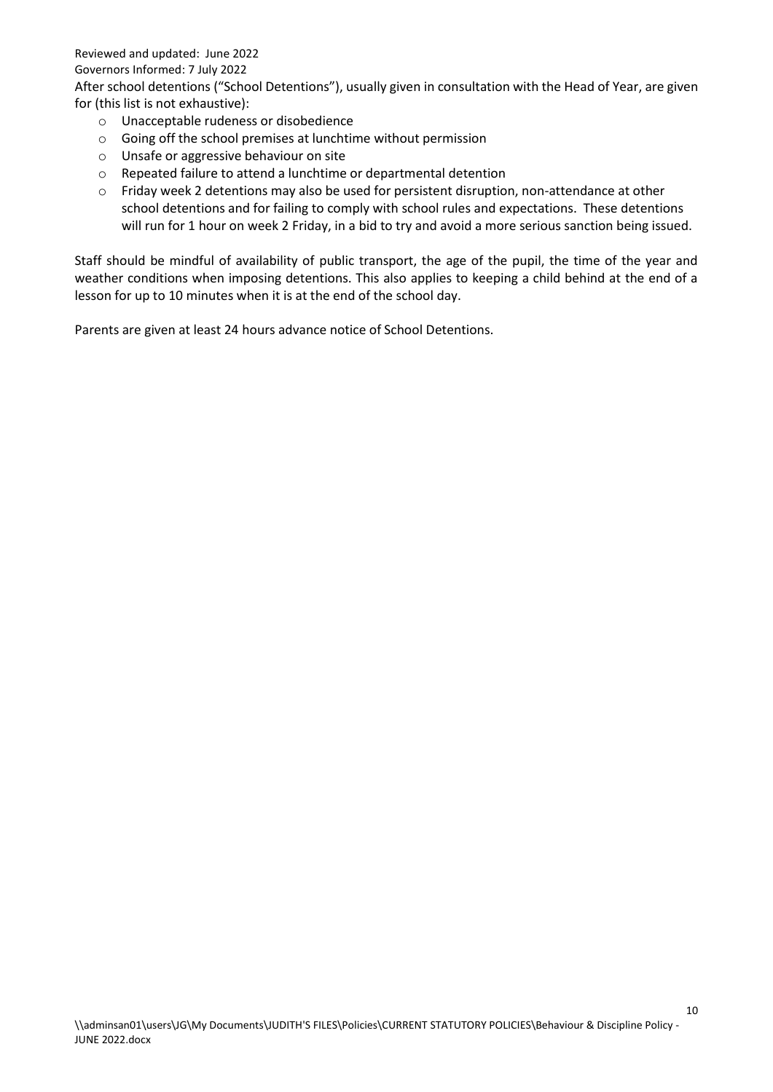Reviewed and updated: June 2022

#### Governors Informed: 7 July 2022

After school detentions ("School Detentions"), usually given in consultation with the Head of Year, are given for (this list is not exhaustive):

- o Unacceptable rudeness or disobedience
- o Going off the school premises at lunchtime without permission
- o Unsafe or aggressive behaviour on site
- o Repeated failure to attend a lunchtime or departmental detention
- o Friday week 2 detentions may also be used for persistent disruption, non-attendance at other school detentions and for failing to comply with school rules and expectations. These detentions will run for 1 hour on week 2 Friday, in a bid to try and avoid a more serious sanction being issued.

Staff should be mindful of availability of public transport, the age of the pupil, the time of the year and weather conditions when imposing detentions. This also applies to keeping a child behind at the end of a lesson for up to 10 minutes when it is at the end of the school day.

Parents are given at least 24 hours advance notice of School Detentions.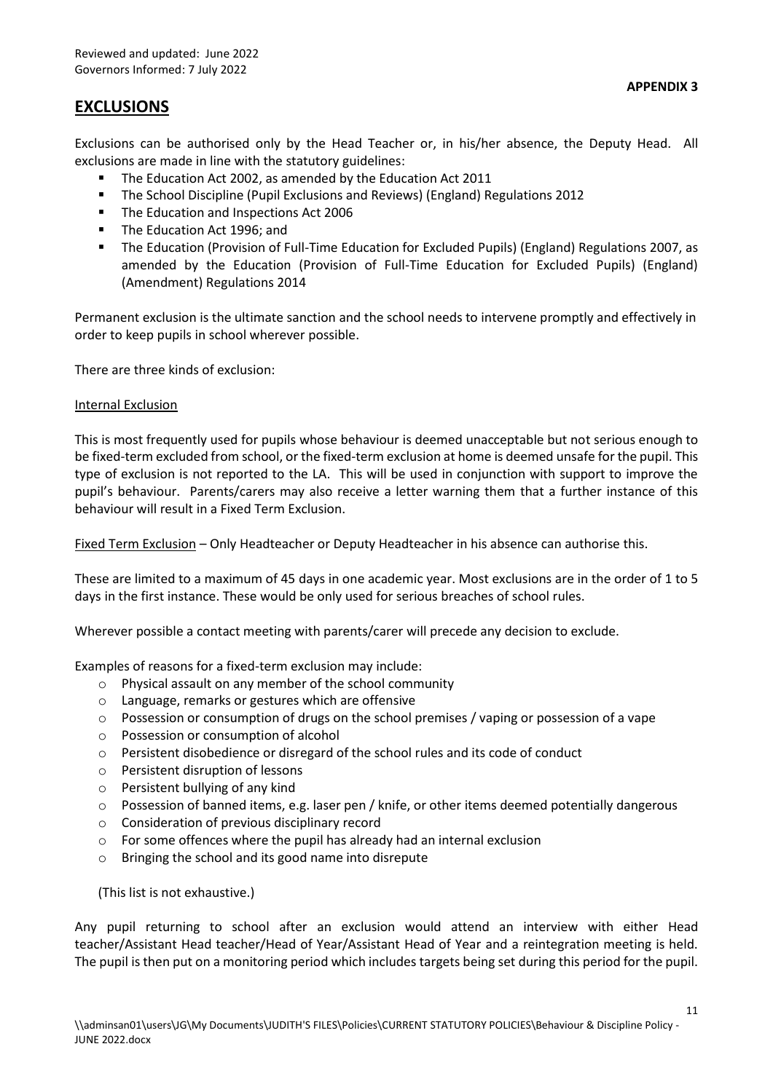# **EXCLUSIONS**

Exclusions can be authorised only by the Head Teacher or, in his/her absence, the Deputy Head. All exclusions are made in line with the statutory guidelines:

- The Education Act 2002, as amended by the Education Act 2011
- The School Discipline (Pupil Exclusions and Reviews) (England) Regulations 2012
- The Education and Inspections Act 2006
- **The Education Act 1996; and**
- The Education (Provision of Full-Time Education for Excluded Pupils) (England) Regulations 2007, as amended by the Education (Provision of Full-Time Education for Excluded Pupils) (England) (Amendment) Regulations 2014

Permanent exclusion is the ultimate sanction and the school needs to intervene promptly and effectively in order to keep pupils in school wherever possible.

There are three kinds of exclusion:

#### Internal Exclusion

This is most frequently used for pupils whose behaviour is deemed unacceptable but not serious enough to be fixed-term excluded from school, or the fixed-term exclusion at home is deemed unsafe for the pupil. This type of exclusion is not reported to the LA. This will be used in conjunction with support to improve the pupil's behaviour. Parents/carers may also receive a letter warning them that a further instance of this behaviour will result in a Fixed Term Exclusion.

Fixed Term Exclusion – Only Headteacher or Deputy Headteacher in his absence can authorise this.

These are limited to a maximum of 45 days in one academic year. Most exclusions are in the order of 1 to 5 days in the first instance. These would be only used for serious breaches of school rules.

Wherever possible a contact meeting with parents/carer will precede any decision to exclude.

Examples of reasons for a fixed-term exclusion may include:

- o Physical assault on any member of the school community
- o Language, remarks or gestures which are offensive
- $\circ$  Possession or consumption of drugs on the school premises / vaping or possession of a vape
- o Possession or consumption of alcohol
- o Persistent disobedience or disregard of the school rules and its code of conduct
- o Persistent disruption of lessons
- o Persistent bullying of any kind
- o Possession of banned items, e.g. laser pen / knife, or other items deemed potentially dangerous
- o Consideration of previous disciplinary record
- o For some offences where the pupil has already had an internal exclusion
- o Bringing the school and its good name into disrepute

(This list is not exhaustive.)

Any pupil returning to school after an exclusion would attend an interview with either Head teacher/Assistant Head teacher/Head of Year/Assistant Head of Year and a reintegration meeting is held. The pupil is then put on a monitoring period which includes targets being set during this period for the pupil.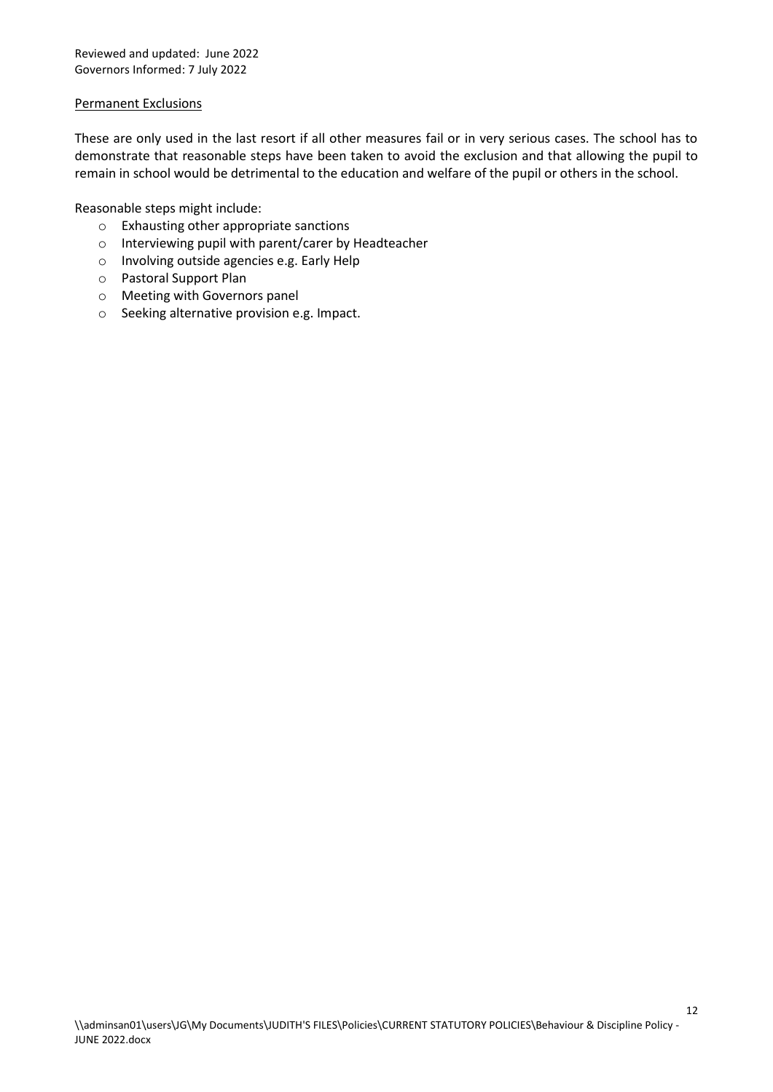#### Permanent Exclusions

These are only used in the last resort if all other measures fail or in very serious cases. The school has to demonstrate that reasonable steps have been taken to avoid the exclusion and that allowing the pupil to remain in school would be detrimental to the education and welfare of the pupil or others in the school.

Reasonable steps might include:

- o Exhausting other appropriate sanctions
- o Interviewing pupil with parent/carer by Headteacher
- o Involving outside agencies e.g. Early Help
- o Pastoral Support Plan
- o Meeting with Governors panel
- o Seeking alternative provision e.g. Impact.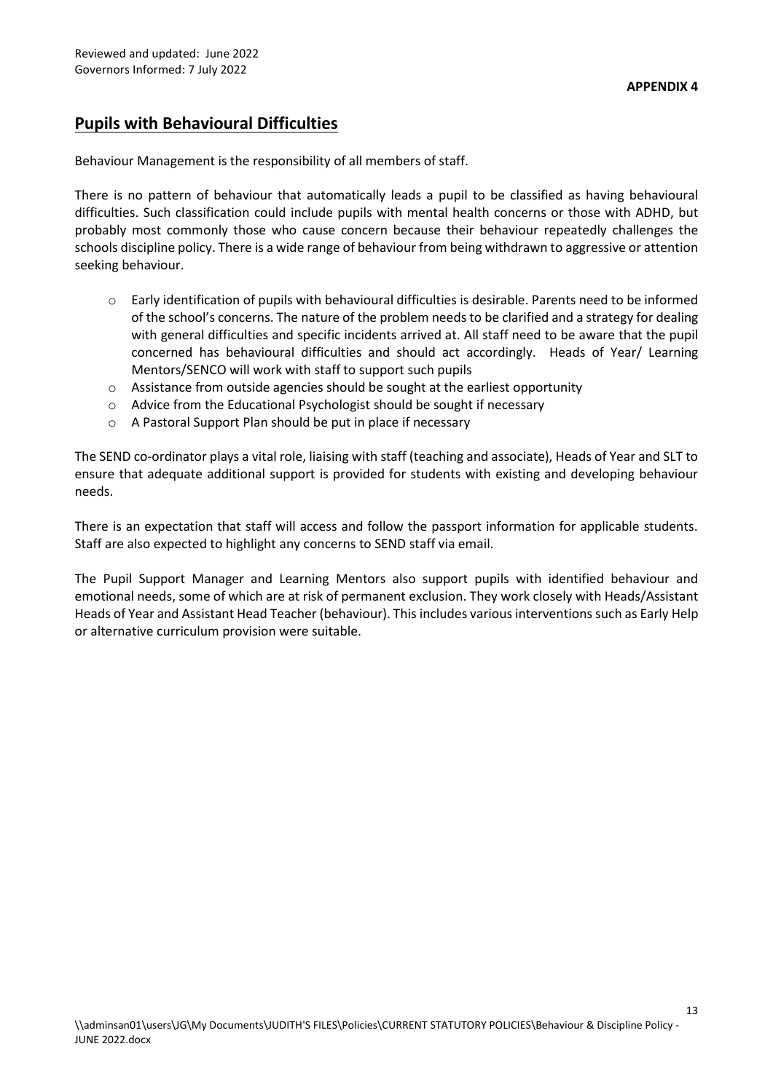# **Pupils with Behavioural Difficulties**

Behaviour Management is the responsibility of all members of staff.

There is no pattern of behaviour that automatically leads a pupil to be classified as having behavioural difficulties. Such classification could include pupils with mental health concerns or those with ADHD, but probably most commonly those who cause concern because their behaviour repeatedly challenges the schools discipline policy. There is a wide range of behaviour from being withdrawn to aggressive or attention seeking behaviour.

- $\circ$  Early identification of pupils with behavioural difficulties is desirable. Parents need to be informed of the school's concerns. The nature of the problem needs to be clarified and a strategy for dealing with general difficulties and specific incidents arrived at. All staff need to be aware that the pupil concerned has behavioural difficulties and should act accordingly. Heads of Year/ Learning Mentors/SENCO will work with staff to support such pupils
- o Assistance from outside agencies should be sought at the earliest opportunity
- o Advice from the Educational Psychologist should be sought if necessary
- o A Pastoral Support Plan should be put in place if necessary

The SEND co-ordinator plays a vital role, liaising with staff (teaching and associate), Heads of Year and SLT to ensure that adequate additional support is provided for students with existing and developing behaviour needs.

There is an expectation that staff will access and follow the passport information for applicable students. Staff are also expected to highlight any concerns to SEND staff via email.

The Pupil Support Manager and Learning Mentors also support pupils with identified behaviour and emotional needs, some of which are at risk of permanent exclusion. They work closely with Heads/Assistant Heads of Year and Assistant Head Teacher (behaviour). This includes various interventions such as Early Help or alternative curriculum provision were suitable.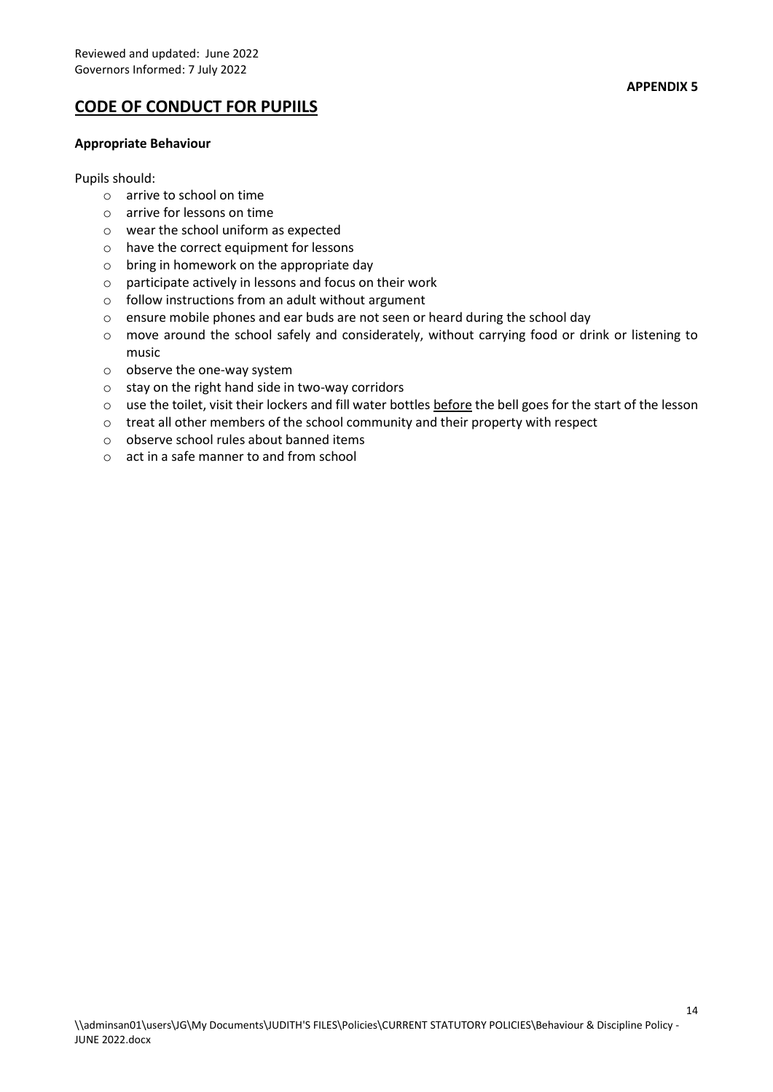# **CODE OF CONDUCT FOR PUPIILS**

#### **Appropriate Behaviour**

#### Pupils should:

- o arrive to school on time
- o arrive for lessons on time
- o wear the school uniform as expected
- o have the correct equipment for lessons
- $\circ$  bring in homework on the appropriate day
- o participate actively in lessons and focus on their work
- o follow instructions from an adult without argument
- o ensure mobile phones and ear buds are not seen or heard during the school day
- $\circ$  move around the school safely and considerately, without carrying food or drink or listening to music
- o observe the one-way system
- o stay on the right hand side in two-way corridors
- o use the toilet, visit their lockers and fill water bottles before the bell goes for the start of the lesson
- $\circ$  treat all other members of the school community and their property with respect
- o observe school rules about banned items
- o act in a safe manner to and from school